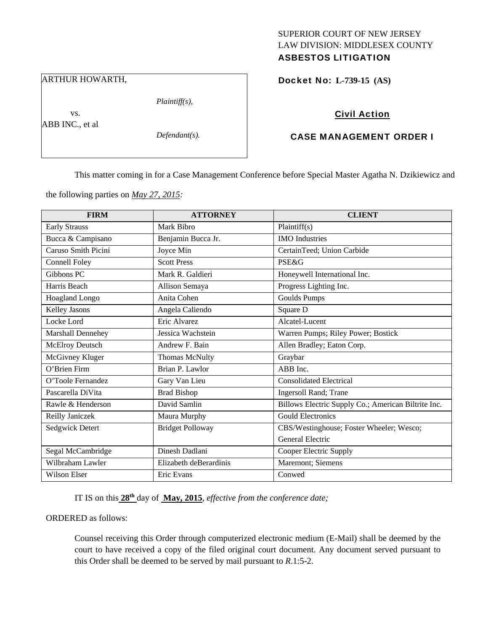# SUPERIOR COURT OF NEW JERSEY LAW DIVISION: MIDDLESEX COUNTY

# ASBESTOS LITIGATION

## ARTHUR HOWARTH,

*Plaintiff(s),* 

 vs. ABB INC., et al

*Defendant(s).* 

## Docket No: **L-739-15 (AS)**

## Civil Action

## CASE MANAGEMENT ORDER I

This matter coming in for a Case Management Conference before Special Master Agatha N. Dzikiewicz and

the following parties on *May 27, 2015:* 

| <b>FIRM</b>            | <b>ATTORNEY</b>         | <b>CLIENT</b>                                       |
|------------------------|-------------------------|-----------------------------------------------------|
| <b>Early Strauss</b>   | Mark Bibro              | Plaintiff(s)                                        |
| Bucca & Campisano      | Benjamin Bucca Jr.      | <b>IMO</b> Industries                               |
| Caruso Smith Picini    | Joyce Min               | CertainTeed; Union Carbide                          |
| <b>Connell Foley</b>   | <b>Scott Press</b>      | <b>PSE&amp;G</b>                                    |
| Gibbons PC             | Mark R. Galdieri        | Honeywell International Inc.                        |
| Harris Beach           | Allison Semaya          | Progress Lighting Inc.                              |
| Hoagland Longo         | Anita Cohen             | <b>Goulds Pumps</b>                                 |
| Kelley Jasons          | Angela Caliendo         | Square D                                            |
| Locke Lord             | Eric Alvarez            | Alcatel-Lucent                                      |
| Marshall Dennehey      | Jessica Wachstein       | Warren Pumps; Riley Power; Bostick                  |
| <b>McElroy Deutsch</b> | Andrew F. Bain          | Allen Bradley; Eaton Corp.                          |
| McGivney Kluger        | <b>Thomas McNulty</b>   | Graybar                                             |
| O'Brien Firm           | Brian P. Lawlor         | ABB Inc.                                            |
| O'Toole Fernandez      | Gary Van Lieu           | <b>Consolidated Electrical</b>                      |
| Pascarella DiVita      | <b>Brad Bishop</b>      | Ingersoll Rand; Trane                               |
| Rawle & Henderson      | David Samlin            | Billows Electric Supply Co.; American Biltrite Inc. |
| Reilly Janiczek        | Maura Murphy            | <b>Gould Electronics</b>                            |
| Sedgwick Detert        | <b>Bridget Polloway</b> | CBS/Westinghouse; Foster Wheeler; Wesco;            |
|                        |                         | <b>General Electric</b>                             |
| Segal McCambridge      | Dinesh Dadlani          | Cooper Electric Supply                              |
| Wilbraham Lawler       | Elizabeth deBerardinis  | Maremont; Siemens                                   |
| <b>Wilson Elser</b>    | Eric Evans              | Conwed                                              |

IT IS on this **28th** day of **May, 2015**, *effective from the conference date;*

### ORDERED as follows:

Counsel receiving this Order through computerized electronic medium (E-Mail) shall be deemed by the court to have received a copy of the filed original court document. Any document served pursuant to this Order shall be deemed to be served by mail pursuant to *R*.1:5-2.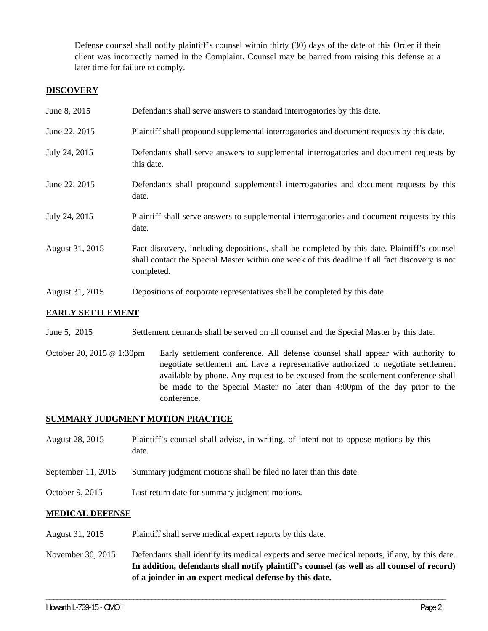Defense counsel shall notify plaintiff's counsel within thirty (30) days of the date of this Order if their client was incorrectly named in the Complaint. Counsel may be barred from raising this defense at a later time for failure to comply.

# **DISCOVERY**

| June 8, 2015    | Defendants shall serve answers to standard interrogatories by this date.                                                                                                                                    |
|-----------------|-------------------------------------------------------------------------------------------------------------------------------------------------------------------------------------------------------------|
| June 22, 2015   | Plaintiff shall propound supplemental interrogatories and document requests by this date.                                                                                                                   |
| July 24, 2015   | Defendants shall serve answers to supplemental interrogatories and document requests by<br>this date.                                                                                                       |
| June 22, 2015   | Defendants shall propound supplemental interrogatories and document requests by this<br>date.                                                                                                               |
| July 24, 2015   | Plaintiff shall serve answers to supplemental interrogatories and document requests by this<br>date.                                                                                                        |
| August 31, 2015 | Fact discovery, including depositions, shall be completed by this date. Plaintiff's counsel<br>shall contact the Special Master within one week of this deadline if all fact discovery is not<br>completed. |
| August 31, 2015 | Depositions of corporate representatives shall be completed by this date.                                                                                                                                   |

# **EARLY SETTLEMENT**

June 5, 2015 Settlement demands shall be served on all counsel and the Special Master by this date.

October 20, 2015 @ 1:30pm Early settlement conference. All defense counsel shall appear with authority to negotiate settlement and have a representative authorized to negotiate settlement available by phone. Any request to be excused from the settlement conference shall be made to the Special Master no later than 4:00pm of the day prior to the conference.

# **SUMMARY JUDGMENT MOTION PRACTICE**

- August 28, 2015 Plaintiff's counsel shall advise, in writing, of intent not to oppose motions by this date.
- September 11, 2015 Summary judgment motions shall be filed no later than this date.
- October 9, 2015 Last return date for summary judgment motions.

## **MEDICAL DEFENSE**

- August 31, 2015 Plaintiff shall serve medical expert reports by this date.
- November 30, 2015 Defendants shall identify its medical experts and serve medical reports, if any, by this date. **In addition, defendants shall notify plaintiff's counsel (as well as all counsel of record) of a joinder in an expert medical defense by this date.**

\_\_\_\_\_\_\_\_\_\_\_\_\_\_\_\_\_\_\_\_\_\_\_\_\_\_\_\_\_\_\_\_\_\_\_\_\_\_\_\_\_\_\_\_\_\_\_\_\_\_\_\_\_\_\_\_\_\_\_\_\_\_\_\_\_\_\_\_\_\_\_\_\_\_\_\_\_\_\_\_\_\_\_\_\_\_\_\_\_\_\_\_\_\_\_\_\_\_\_\_\_\_\_\_\_\_\_\_\_\_